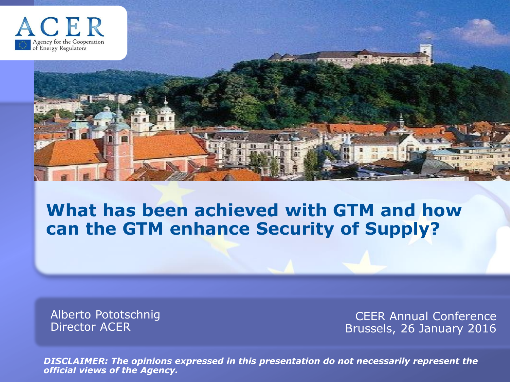

#### **What has been achieved with GTM and how can the GTM enhance Security of Supply?**

Alberto Pototschnig Director ACER

CEER Annual Conference Brussels, 26 January 2016

*DISCLAIMER: The opinions expressed in this presentation do not necessarily represent the official views of the Agency.*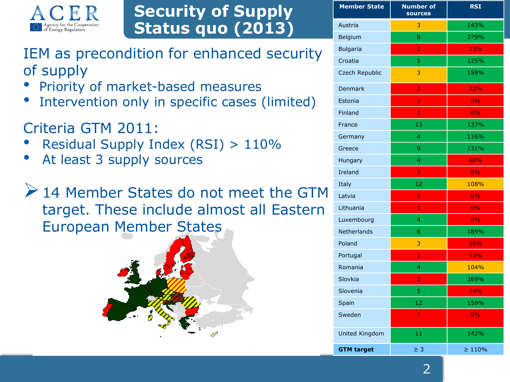

#### **Security of Supply Status quo (2013)**

IEM as precondition for enhanced security of supply

- Priority of market-based measures
- Intervention only in specific cases (limited)

Criteria GTM 2011:

- Residual Supply Index (RSI) > 110%
- At least 3 supply sources

▶ 14 Member States do not meet the GTM target. These include almost all Eastern European Member States



| <b>Member State</b> | <b>Number of</b><br>sources | <b>RSI</b> |
|---------------------|-----------------------------|------------|
| Austria             | 3                           | 143%       |
| Belgium             | 8                           | 279%       |
| <b>Bulgaria</b>     | $\overline{2}$              | 13%        |
| Croatia             | 5                           | 125%       |
| Czech Republic      | 3                           | 159%       |
| Denmark             | $\overline{a}$              | 22%        |
| Estonia             | 1                           | 0%         |
| Finland             | $\mathbf{1}$                | 0%         |
| France              | 13                          | 137%       |
| Germany             | 4                           | 116%       |
| Greece              | 9                           | 131%       |
| Hungary             | 4                           | 60%        |
| Ireland             | $\overline{a}$              | 8%         |
| Italy               | 12                          | 108%       |
| Latvia              | $\mathbf{1}$                | 0%         |
| Lithuania           | 1                           | 0%         |
| Luxembourg          | 4                           | 0%         |
| <b>Netherlands</b>  | 6                           | 189%       |
| Poland              | 3                           | 56%        |
| Portugal            | $\overline{2}$              | 93%        |
| Romania             | 4                           | 104%       |
| Slovkia             | $\overline{a}$              | 369%       |
| Slovenia            | 5                           | 74%        |
| Spain               | 12                          | 159%       |
| Sweden              | $\mathbf{1}$                | 0%         |
| United Kingdom      | 11                          | 142%       |
|                     |                             |            |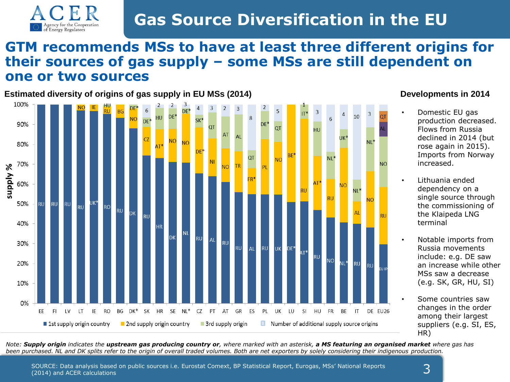

### **Gas Source Diversification in the EU**

#### **GTM recommends MSs to have at least three different origins for their sources of gas supply – some MSs are still dependent on one or two sources**

**Estimated diversity of origins of gas supply in EU MSs (2014)**



#### **Developments in 2014**

- Domestic EU gas production decreased. Flows from Russia declined in 2014 (but rose again in 2015). Imports from Norway increased.
- Lithuania ended dependency on a single source through the commissioning of the Klaipeda LNG terminal
- Notable imports from Russia movements include: e.g. DE saw an increase while other MSs saw a decrease (e.g. SK, GR, HU, SI)
- Some countries saw changes in the order among their largest suppliers (e.g. SI, ES, HR)

*Note: Supply origin indicates the upstream gas producing country or, where marked with an asterisk, a MS featuring an organised market where gas has been purchased. NL and DK splits refer to the origin of overall traded volumes. Both are net exporters by solely considering their indigenous production.*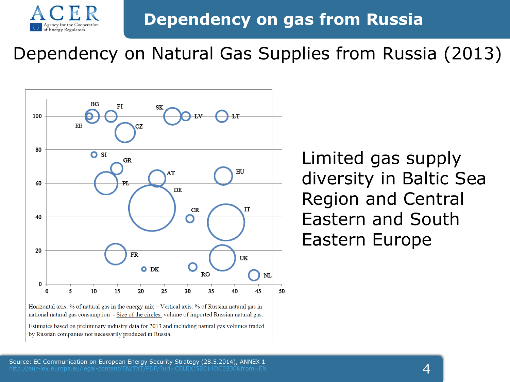

### **Dependency on gas from Russia**

# Dependency on Natural Gas Supplies from Russia (2013)



by Russian companies not necessarily produced in Russia.

Limited gas supply diversity in Baltic Sea Region and Central Eastern and South Eastern Europe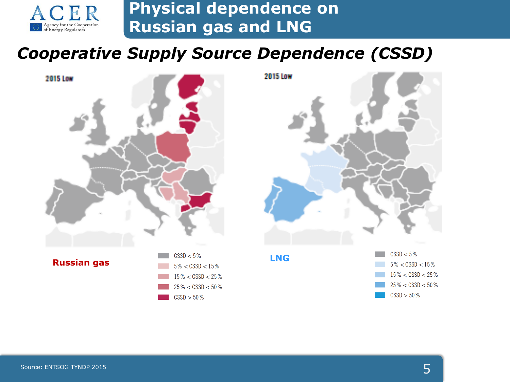

#### **Physical dependence on Russian gas and LNG**

#### *Cooperative Supply Source Dependence (CSSD)*

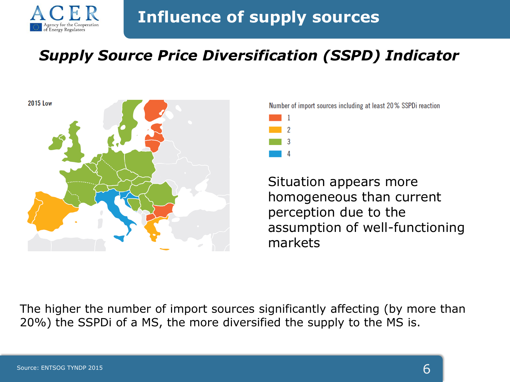

#### **Influence of supply sources**

#### *Supply Source Price Diversification (SSPD) Indicator*



Number of import sources including at least 20% SSPDi reaction

Situation appears more homogeneous than current perception due to the assumption of well-functioning markets

The higher the number of import sources significantly affecting (by more than 20%) the SSPDi of a MS, the more diversified the supply to the MS is.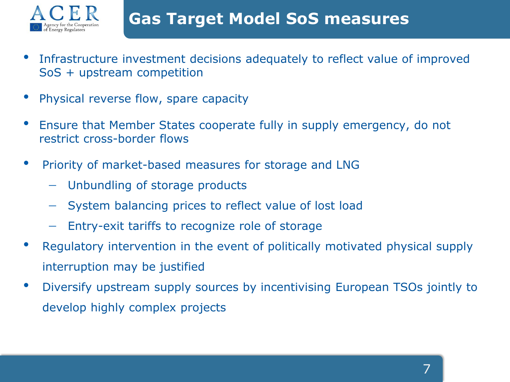

- Infrastructure investment decisions adequately to reflect value of improved SoS + upstream competition
- Physical reverse flow, spare capacity
- Ensure that Member States cooperate fully in supply emergency, do not restrict cross-border flows
- Priority of market-based measures for storage and LNG
	- Unbundling of storage products
	- System balancing prices to reflect value of lost load
	- Entry-exit tariffs to recognize role of storage
- Regulatory intervention in the event of politically motivated physical supply interruption may be justified
- Diversify upstream supply sources by incentivising European TSOs jointly to develop highly complex projects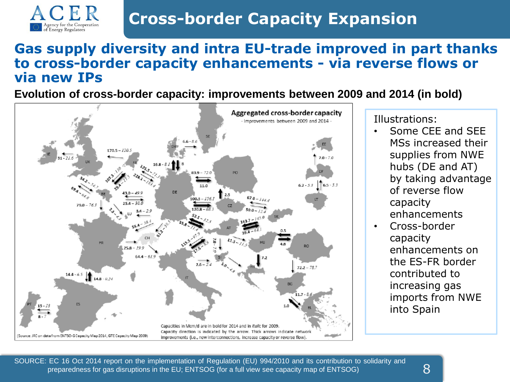

## **Cross-border Capacity Expansion**

#### **Gas supply diversity and intra EU-trade improved in part thanks to cross-border capacity enhancements - via reverse flows or via new IPs**

**Evolution of cross-border capacity: improvements between 2009 and 2014 (in bold)**



Illustrations:

- Some CEE and SEE MSs increased their supplies from NWE hubs (DE and AT) by taking advantage of reverse flow capacity enhancements
- Cross-border capacity enhancements on the ES-FR border contributed to increasing gas imports from NWE into Spain